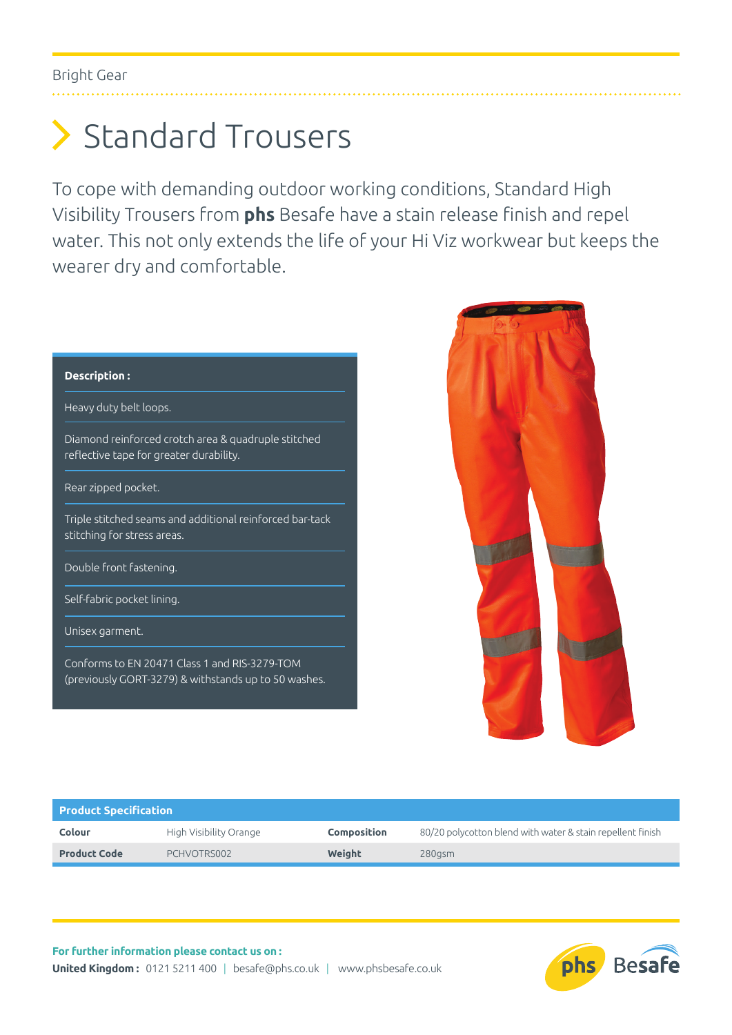## > Standard Trousers

To cope with demanding outdoor working conditions, Standard High Visibility Trousers from **phs** Besafe have a stain release finish and repel water. This not only extends the life of your Hi Viz workwear but keeps the wearer dry and comfortable.

| Description :                                                                                         |  |  |  |  |  |  |  |  |  |
|-------------------------------------------------------------------------------------------------------|--|--|--|--|--|--|--|--|--|
| Heavy duty belt loops.                                                                                |  |  |  |  |  |  |  |  |  |
| Diamond reinforced crotch area & quadruple stitched<br>reflective tape for greater durability.        |  |  |  |  |  |  |  |  |  |
| Rear zipped pocket.                                                                                   |  |  |  |  |  |  |  |  |  |
| Triple stitched seams and additional reinforced bar-tack<br>stitching for stress areas.               |  |  |  |  |  |  |  |  |  |
| Double front fastening.                                                                               |  |  |  |  |  |  |  |  |  |
| Self-fabric pocket lining.                                                                            |  |  |  |  |  |  |  |  |  |
| Unisex garment.                                                                                       |  |  |  |  |  |  |  |  |  |
| Conforms to EN 20471 Class 1 and RIS-3279-TOM<br>(previously GORT-3279) & withstands up to 50 washes. |  |  |  |  |  |  |  |  |  |



## **Product Specification**

**Product Code** PCHVOTRS002 **Weight** 280gsm

**Colour** High Visibility Orange **Composition** 80/20 polycotton blend with water & stain repellent finish